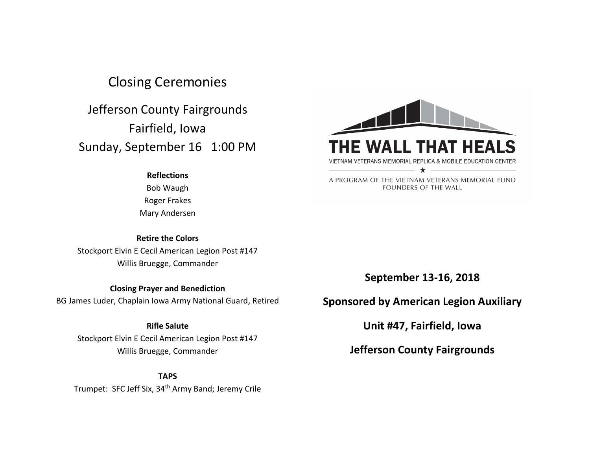# Closing Ceremonies

Jefferson County Fairgrounds Fairfield, Iowa Sunday, September 16 1:00 PM

### **Reflections**

Bob Waugh Roger Frakes Mary Andersen

## **Retire the Colors**

Stockport Elvin E Cecil American Legion Post #147 Willis Bruegge, Commander

# **Closing Prayer and Benediction**

BG James Luder, Chaplain Iowa Army National Guard, Retired

# **Rifle Salute**

Stockport Elvin E Cecil American Legion Post #147 Willis Bruegge, Commander

### **TAPS**

Trumpet: SFC Jeff Six, 34<sup>th</sup> Army Band; Jeremy Crile



A PROGRAM OF THE VIETNAM VETERANS MEMORIAL FUND FOUNDERS OF THE WALL

**September 13-16, 2018**

# **Sponsored by American Legion Auxiliary**

**Unit #47, Fairfield, Iowa**

**Jefferson County Fairgrounds**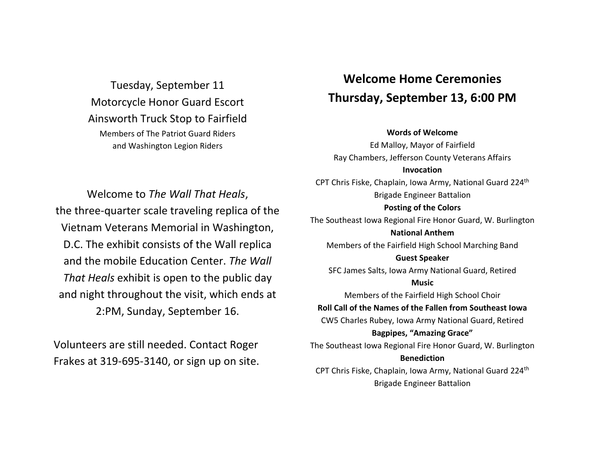Tuesday, September 11 Motorcycle Honor Guard Escort Ainsworth Truck Stop to Fairfield Members of The Patriot Guard Riders and Washington Legion Riders

# **Welcome Home Ceremonies Thursday, September 13, 6:00 PM**

## **Words of Welcome**

Welcome to *The Wall That Heals*, the three-quarter scale traveling replica of the Vietnam Veterans Memorial in Washington, D.C. The exhibit consists of the Wall replica and the mobile Education Center. *The Wall That Heals* exhibit is open to the public day and night throughout the visit, which ends at 2:PM, Sunday, September 16.

Volunteers are still needed. Contact Roger Frakes at 319-695-3140, or sign up on site.

Ed Malloy, Mayor of Fairfield Ray Chambers, Jefferson County Veterans Affairs **Invocation** CPT Chris Fiske, Chaplain, Iowa Army, National Guard 224th Brigade Engineer Battalion **Posting of the Colors** The Southeast Iowa Regional Fire Honor Guard, W. Burlington **National Anthem** Members of the Fairfield High School Marching Band **Guest Speaker** SFC James Salts, Iowa Army National Guard, Retired **Music** Members of the Fairfield High School Choir **Roll Call of the Names of the Fallen from Southeast Iowa** CW5 Charles Rubey, Iowa Army National Guard, Retired **Bagpipes, "Amazing Grace"** The Southeast Iowa Regional Fire Honor Guard, W. Burlington **Benediction** CPT Chris Fiske, Chaplain, Iowa Army, National Guard 224th Brigade Engineer Battalion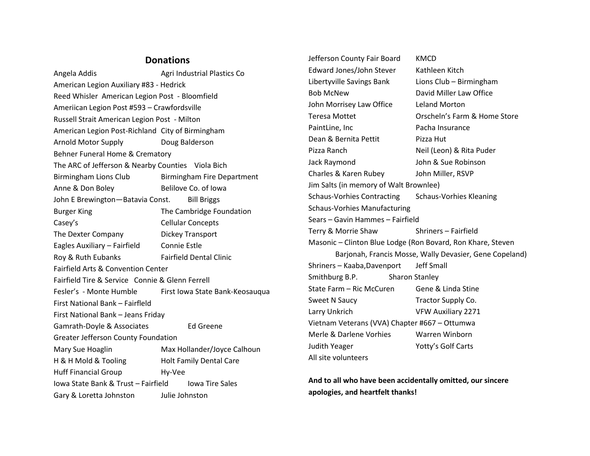# **Donations**

Angela Addis **Agri Industrial Plastics Co** American Legion Auxiliary #83 - Hedrick Reed Whisler American Legion Post - Bloomfield Ameriican Legion Post #593 – Crawfordsville Russell Strait American Legion Post - Milton American Legion Post-Richland City of Birmingham Arnold Motor Supply Doug Balderson Behner Funeral Home & Crematory The ARC of Jefferson & Nearby Counties Viola Bich Birmingham Lions Club Birmingham Fire Department Anne & Don Boley Belilove Co. of Iowa John E Brewington—Batavia Const. Bill Briggs Burger King The Cambridge Foundation Casey's Cellular Concepts The Dexter Company Dickey Transport Eagles Auxiliary – Fairfield Connie Estle Roy & Ruth Eubanks Fairfield Dental Clinic Fairfield Arts & Convention Center Fairfield Tire & Service Connie & Glenn Ferrell Fesler's - Monte Humble First Iowa State Bank-Keosaugua First National Bank – Fairfleld First National Bank – Jeans Friday Gamrath-Doyle & Associates Ed Greene Greater Jefferson County Foundation Mary Sue Hoaglin Max Hollander/Joyce Calhoun H & H Mold & Tooling Holt Family Dental Care Huff Financial Group Hy-Vee Iowa State Bank & Trust – Fairfield Iowa Tire Sales Gary & Loretta Johnston Julie Johnston

Jefferson County Fair Board KMCD Edward Jones/John Stever Kathleen Kitch Libertyville Savings Bank Lions Club – Birmingham Bob McNew David Miller Law Office John Morrisey Law Office Leland Morton Teresa Mottet Orscheln's Farm & Home Store PaintLine, Inc **Pacha Insurance** Dean & Bernita Pettit Pizza Hut Pizza Ranch Neil (Leon) & Rita Puder Jack Raymond John & Sue Robinson Charles & Karen Rubey John Miller, RSVP Jim Salts (in memory of Walt Brownlee) Schaus-Vorhies Contracting Schaus-Vorhies Kleaning Schaus-Vorhies Manufacturing Sears – Gavin Hammes – Fairfield Terry & Morrie Shaw Shriners – Fairfield Masonic – Clinton Blue Lodge (Ron Bovard, Ron Khare, Steven Barjonah, Francis Mosse, Wally Devasier, Gene Copeland) Shriners – Kaaba,Davenport Jeff Small Smithburg B.P. Sharon Stanley State Farm – Ric McCuren Gene & Linda Stine Sweet N Saucy Tractor Supply Co. Larry Unkrich VFW Auxiliary 2271 Vietnam Veterans (VVA) Chapter #667 – Ottumwa Merle & Darlene Vorhies Warren Winborn Judith Yeager Yotty's Golf Carts All site volunteers

**And to all who have been accidentally omitted, our sincere apologies, and heartfelt thanks!**